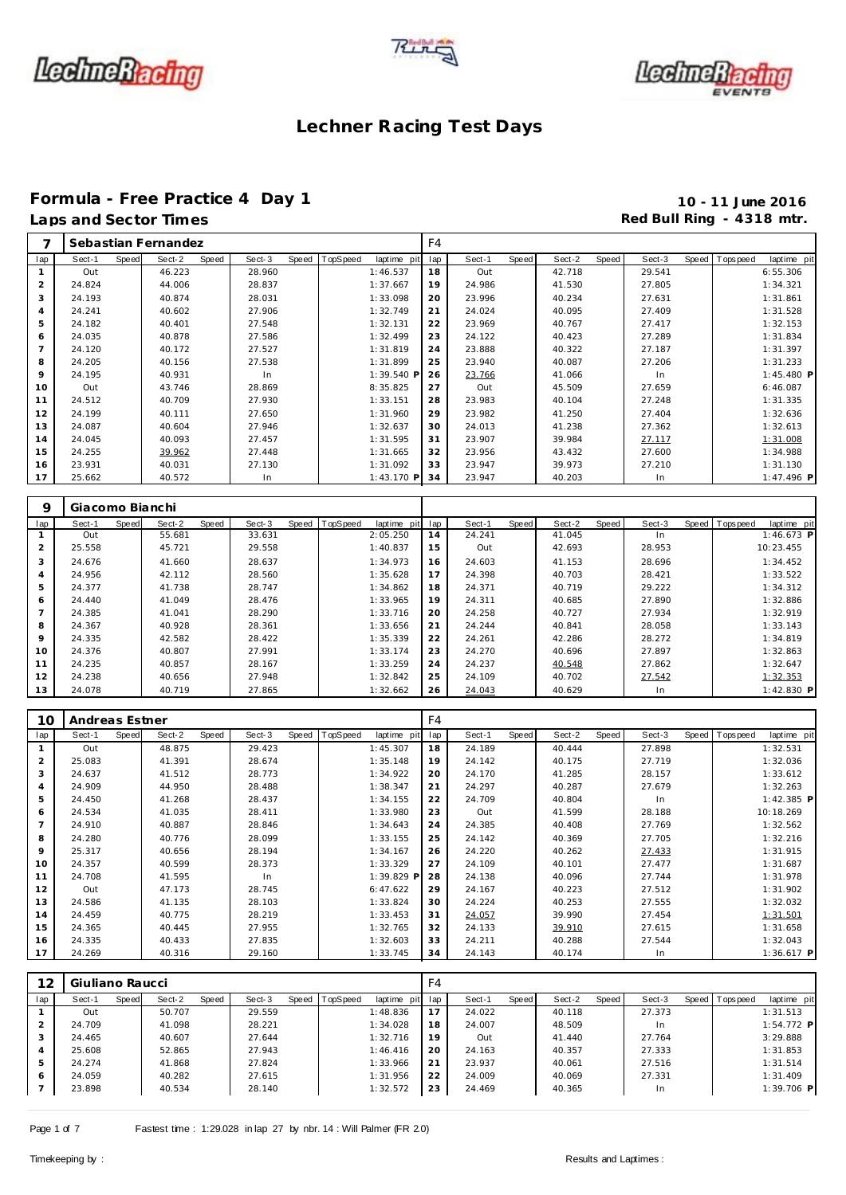





### **Formula - Free Practice 4 Day 1 10 - 11 June 2016** Laps and Sector Times **Red Bull Ring - 4318 mtr. Red Bull Ring - 4318 mtr.**

|     |        |       | Sebastian Fernandez |       |        |       |                 |             | F <sub>4</sub> |        |       |        |       |        |                |             |
|-----|--------|-------|---------------------|-------|--------|-------|-----------------|-------------|----------------|--------|-------|--------|-------|--------|----------------|-------------|
| lap | Sect-1 | Speed | Sect-2              | Speed | Sect-3 | Speed | <b>TopSpeed</b> | laptime pit | lap            | Sect-1 | Speed | Sect-2 | Speed | Sect-3 | Speed Topspeed | laptime pit |
|     | Out    |       | 46.223              |       | 28.960 |       |                 | 1:46.537    | 18             | Out    |       | 42.718 |       | 29.541 |                | 6:55.306    |
| 2   | 24.824 |       | 44.006              |       | 28.837 |       |                 | 1:37.667    | 19             | 24.986 |       | 41.530 |       | 27.805 |                | 1:34.321    |
| 3   | 24.193 |       | 40.874              |       | 28.031 |       |                 | 1:33.098    | 20             | 23.996 |       | 40.234 |       | 27.631 |                | 1:31.861    |
|     | 24.241 |       | 40.602              |       | 27.906 |       |                 | 1:32.749    | 21             | 24.024 |       | 40.095 |       | 27.409 |                | 1:31.528    |
| 5   | 24.182 |       | 40.401              |       | 27.548 |       |                 | 1:32.131    | 22             | 23.969 |       | 40.767 |       | 27.417 |                | 1:32.153    |
| 6   | 24.035 |       | 40.878              |       | 27.586 |       |                 | 1:32.499    | 23             | 24.122 |       | 40.423 |       | 27.289 |                | 1:31.834    |
|     | 24.120 |       | 40.172              |       | 27.527 |       |                 | 1:31.819    | 24             | 23.888 |       | 40.322 |       | 27.187 |                | 1:31.397    |
| 8   | 24.205 |       | 40.156              |       | 27.538 |       |                 | 1:31.899    | 25             | 23.940 |       | 40.087 |       | 27.206 |                | 1:31.233    |
| 9   | 24.195 |       | 40.931              |       | In     |       |                 | 1:39.540 P  | 26             | 23.766 |       | 41.066 |       | In     |                | 1:45.480 P  |
| 10  | Out    |       | 43.746              |       | 28.869 |       |                 | 8:35.825    | 27             | Out    |       | 45.509 |       | 27.659 |                | 6:46.087    |
| 11  | 24.512 |       | 40.709              |       | 27.930 |       |                 | 1:33.151    | 28             | 23.983 |       | 40.104 |       | 27.248 |                | 1:31.335    |
| 12  | 24.199 |       | 40.111              |       | 27.650 |       |                 | 1:31.960    | 29             | 23.982 |       | 41.250 |       | 27.404 |                | 1:32.636    |
| 13  | 24.087 |       | 40.604              |       | 27.946 |       |                 | 1:32.637    | 30             | 24.013 |       | 41.238 |       | 27.362 |                | 1:32.613    |
| 14  | 24.045 |       | 40.093              |       | 27.457 |       |                 | 1:31.595    | 31             | 23.907 |       | 39.984 |       | 27.117 |                | 1:31.008    |
| 15  | 24.255 |       | 39.962              |       | 27.448 |       |                 | 1:31.665    | 32             | 23.956 |       | 43.432 |       | 27.600 |                | 1:34.988    |
| 16  | 23.931 |       | 40.031              |       | 27.130 |       |                 | 1:31.092    | 33             | 23.947 |       | 39.973 |       | 27.210 |                | 1:31.130    |
| 17  | 25.662 |       | 40.572              |       | In.    |       |                 | 1:43.170 P  | 34             | 23.947 |       | 40.203 |       | In     |                | 1:47.496 P  |

| 9              | Giacomo Bianchi |       |        |       |        |       |          |             |     |        |       |        |       |        |                |              |
|----------------|-----------------|-------|--------|-------|--------|-------|----------|-------------|-----|--------|-------|--------|-------|--------|----------------|--------------|
| lap            | Sect-1          | Speed | Sect-2 | Speed | Sect-3 | Speed | TopSpeed | laptime pit | lap | Sect-1 | Speed | Sect-2 | Speed | Sect-3 | Speed Topspeed | laptime pit  |
|                | Out             |       | 55.681 |       | 33.631 |       |          | 2:05.250    | 14  | 24.241 |       | 41.045 |       | In     |                | $1:46.673$ P |
| 2              | 25.558          |       | 45.721 |       | 29.558 |       |          | 1:40.837    | 15  | Out    |       | 42.693 |       | 28.953 |                | 10:23.455    |
| 3              | 24.676          |       | 41.660 |       | 28.637 |       |          | 1:34.973    | 16  | 24.603 |       | 41.153 |       | 28.696 |                | 1:34.452     |
| $\overline{4}$ | 24.956          |       | 42.112 |       | 28.560 |       |          | 1:35.628    | 17  | 24.398 |       | 40.703 |       | 28.421 |                | 1:33.522     |
| 5              | 24.377          |       | 41.738 |       | 28.747 |       |          | 1:34.862    | 18  | 24.371 |       | 40.719 |       | 29.222 |                | 1:34.312     |
| 6              | 24.440          |       | 41.049 |       | 28.476 |       |          | 1:33.965    | 19  | 24.311 |       | 40.685 |       | 27.890 |                | 1:32.886     |
|                | 24.385          |       | 41.041 |       | 28.290 |       |          | 1:33.716    | 20  | 24.258 |       | 40.727 |       | 27.934 |                | 1:32.919     |
| 8              | 24.367          |       | 40.928 |       | 28.361 |       |          | 1:33.656    | 21  | 24.244 |       | 40.841 |       | 28.058 |                | 1:33.143     |
| 9              | 24.335          |       | 42.582 |       | 28.422 |       |          | 1:35.339    | 22  | 24.261 |       | 42.286 |       | 28.272 |                | 1:34.819     |
| 10             | 24.376          |       | 40.807 |       | 27.991 |       |          | 1:33.174    | 23  | 24.270 |       | 40.696 |       | 27.897 |                | 1:32.863     |
| 11             | 24.235          |       | 40.857 |       | 28.167 |       |          | 1:33.259    | 24  | 24.237 |       | 40.548 |       | 27.862 |                | 1:32.647     |
| 12             | 24.238          |       | 40.656 |       | 27.948 |       |          | 1:32.842    | 25  | 24.109 |       | 40.702 |       | 27.542 |                | 1:32.353     |
| 13             | 24.078          |       | 40.719 |       | 27.865 |       |          | 1:32.662    | 26  | 24.043 |       | 40.629 |       | In     |                | $1:42.830$ P |

| 10             | Andreas Estner |       |        |       |        |       |          |             | F4  |        |       |        |       |        |       |             |              |
|----------------|----------------|-------|--------|-------|--------|-------|----------|-------------|-----|--------|-------|--------|-------|--------|-------|-------------|--------------|
| lap            | Sect-1         | Speed | Sect-2 | Speed | Sect-3 | Speed | TopSpeed | laptime pit | lap | Sect-1 | Speed | Sect-2 | Speed | Sect-3 | Speed | T ops pee d | laptime pit  |
|                | Out            |       | 48.875 |       | 29.423 |       |          | 1:45.307    | 18  | 24.189 |       | 40.444 |       | 27.898 |       |             | 1:32.531     |
| 2              | 25.083         |       | 41.391 |       | 28.674 |       |          | 1:35.148    | 19  | 24.142 |       | 40.175 |       | 27.719 |       |             | 1:32.036     |
| 3              | 24.637         |       | 41.512 |       | 28.773 |       |          | 1:34.922    | 20  | 24.170 |       | 41.285 |       | 28.157 |       |             | 1:33.612     |
| $\overline{4}$ | 24.909         |       | 44.950 |       | 28.488 |       |          | 1:38.347    | 21  | 24.297 |       | 40.287 |       | 27.679 |       |             | 1:32.263     |
| 5              | 24.450         |       | 41.268 |       | 28.437 |       |          | 1:34.155    | 22  | 24.709 |       | 40.804 |       | In     |       |             | $1:42.385$ P |
| 6              | 24.534         |       | 41.035 |       | 28.411 |       |          | 1:33.980    | 23  | Out    |       | 41.599 |       | 28.188 |       |             | 10:18.269    |
|                | 24.910         |       | 40.887 |       | 28.846 |       |          | 1:34.643    | 24  | 24.385 |       | 40.408 |       | 27.769 |       |             | 1:32.562     |
| 8              | 24.280         |       | 40.776 |       | 28.099 |       |          | 1:33.155    | 25  | 24.142 |       | 40.369 |       | 27.705 |       |             | 1:32.216     |
| 9              | 25.317         |       | 40.656 |       | 28.194 |       |          | 1:34.167    | 26  | 24.220 |       | 40.262 |       | 27.433 |       |             | 1:31.915     |
| 10             | 24.357         |       | 40.599 |       | 28.373 |       |          | 1:33.329    | 27  | 24.109 |       | 40.101 |       | 27.477 |       |             | 1:31.687     |
| 11             | 24.708         |       | 41.595 |       | In.    |       |          | 1:39.829 P  | 28  | 24.138 |       | 40.096 |       | 27.744 |       |             | 1:31.978     |
| 12             | Out            |       | 47.173 |       | 28.745 |       |          | 6:47.622    | 29  | 24.167 |       | 40.223 |       | 27.512 |       |             | 1:31.902     |
| 13             | 24.586         |       | 41.135 |       | 28.103 |       |          | 1:33.824    | 30  | 24.224 |       | 40.253 |       | 27.555 |       |             | 1:32.032     |
| 14             | 24.459         |       | 40.775 |       | 28.219 |       |          | 1:33.453    | 31  | 24.057 |       | 39.990 |       | 27.454 |       |             | 1:31.501     |
| 15             | 24.365         |       | 40.445 |       | 27.955 |       |          | 1:32.765    | 32  | 24.133 |       | 39.910 |       | 27.615 |       |             | 1:31.658     |
| 16             | 24.335         |       | 40.433 |       | 27.835 |       |          | 1:32.603    | 33  | 24.211 |       | 40.288 |       | 27.544 |       |             | 1:32.043     |
| 17             | 24.269         |       | 40.316 |       | 29.160 |       |          | 1:33.745    | 34  | 24.143 |       | 40.174 |       | In.    |       |             | $1:36.617$ P |

| 12  | Giuliano Raucci |       |        |       |        |       |          |             | F4  |        |       |        |       |        |       |            |              |  |
|-----|-----------------|-------|--------|-------|--------|-------|----------|-------------|-----|--------|-------|--------|-------|--------|-------|------------|--------------|--|
| lap | Sect-1          | Speed | Sect-2 | Speed | Sect-3 | Speed | TopSpeed | laptime pit | lap | Sect-1 | Speed | Sect-2 | Speed | Sect-3 | Speed | T ops peed | laptime pit  |  |
|     | Out             |       | 50.707 |       | 29.559 |       |          | 1:48.836    | 17  | 24.022 |       | 40.118 |       | 27.373 |       |            | 1:31.513     |  |
| ∠   | 24.709          |       | 41.098 |       | 28.221 |       |          | 1:34.028    | 18  | 24.007 |       | 48.509 |       | -In    |       |            | $1:54.772$ P |  |
| 3   | 24.465          |       | 40.607 |       | 27.644 |       |          | 1:32.716    | 19  | Out    |       | 41.440 |       | 27.764 |       |            | 3:29.888     |  |
| 4   | 25.608          |       | 52.865 |       | 27.943 |       |          | 1:46.416    | 20  | 24.163 |       | 40.357 |       | 27.333 |       |            | 1:31.853     |  |
| 5   | 24.274          |       | 41.868 |       | 27.824 |       |          | 1:33.966    | 21  | 23.937 |       | 40.061 |       | 27.516 |       |            | 1:31.514     |  |
| 6   | 24.059          |       | 40.282 |       | 27.615 |       |          | 1:31.956    | 22  | 24.009 |       | 40.069 |       | 27.331 |       |            | 1:31.409     |  |
|     | 23.898          |       | 40.534 |       | 28.140 |       |          | 1:32.572    | 23  | 24.469 |       | 40.365 |       | In     |       |            | 1:39.706 P   |  |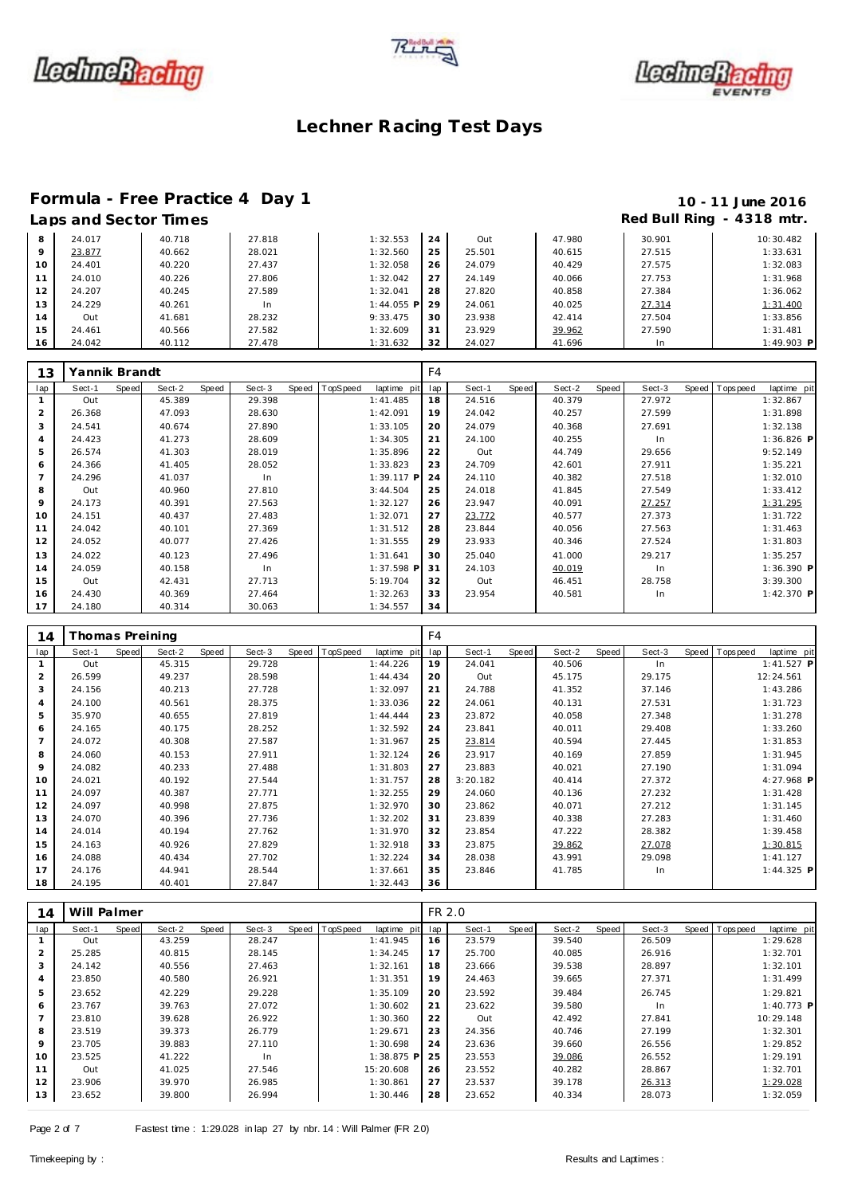





# Formula - Free Practice 4 Day 1<br>
Laps and Sector Times<br> **10 - 11 June 2016**<br>
Red Bull Ring - 4318 mtr.

## Red Bull Ring - 4318 mtr.

| 8       | 24.017     | 40.718 | 27.818 | 1:32.553     | 24 | Out    | 47.980 | 30.901 | 10:30.482    |
|---------|------------|--------|--------|--------------|----|--------|--------|--------|--------------|
| $\circ$ | 23.877     | 40.662 | 28.021 | 1:32.560     | 25 | 25.501 | 40.615 | 27.515 | 1:33.631     |
| 10      | 24.401     | 40.220 | 27.437 | 1:32.058     | 26 | 24.079 | 40.429 | 27.575 | 1:32.083     |
|         | 24.010     | 40.226 | 27.806 | 1:32.042     | 27 | 24.149 | 40.066 | 27.753 | 1:31.968     |
| 12      | 24.207     | 40.245 | 27.589 | 1:32.041     | 28 | 27.820 | 40.858 | 27.384 | 1:36.062     |
| 13      | 24.229     | 40.261 | In     | $1:44.055$ P | 29 | 24.061 | 40.025 | 27.314 | 1:31.400     |
| 14      | <b>Out</b> | 41.681 | 28.232 | 9:33.475     | 30 | 23.938 | 42.414 | 27.504 | 1:33.856     |
| 15      | 24.461     | 40.566 | 27.582 | 1:32.609     | 31 | 23.929 | 39.962 | 27.590 | 1:31.481     |
| 16      | 24.042     | 40.112 | 27.478 | 1:31.632     | 32 | 24.027 | 41.696 | In     | $1:49.903$ P |

| 13             | Yannik Brandt |       |        |       |        |       |          |              | F <sub>4</sub> |        |       |        |       |        |                  |              |
|----------------|---------------|-------|--------|-------|--------|-------|----------|--------------|----------------|--------|-------|--------|-------|--------|------------------|--------------|
| lap            | Sect-1        | Speed | Sect-2 | Speed | Sect-3 | Speed | TopSpeed | laptime pit  | lap            | Sect-1 | Speed | Sect-2 | Speed | Sect-3 | Speed   Topspeed | laptime pit  |
|                | Out           |       | 45.389 |       | 29.398 |       |          | 1:41.485     | 18             | 24.516 |       | 40.379 |       | 27.972 |                  | 1:32.867     |
| $\overline{2}$ | 26.368        |       | 47.093 |       | 28.630 |       |          | 1:42.091     | 19             | 24.042 |       | 40.257 |       | 27.599 |                  | 1:31.898     |
| 3              | 24.541        |       | 40.674 |       | 27.890 |       |          | 1:33.105     | 20             | 24.079 |       | 40.368 |       | 27.691 |                  | 1:32.138     |
| 4              | 24.423        |       | 41.273 |       | 28.609 |       |          | 1:34.305     | 21             | 24.100 |       | 40.255 |       | In     |                  | $1:36.826$ P |
| 5              | 26.574        |       | 41.303 |       | 28.019 |       |          | 1:35.896     | 22             | Out    |       | 44.749 |       | 29.656 |                  | 9:52.149     |
| 6              | 24.366        |       | 41.405 |       | 28.052 |       |          | 1:33.823     | 23             | 24.709 |       | 42.601 |       | 27.911 |                  | 1:35.221     |
| $\overline{7}$ | 24.296        |       | 41.037 |       | In.    |       |          | $1:39.117$ P | 24             | 24.110 |       | 40.382 |       | 27.518 |                  | 1:32.010     |
| 8              | Out           |       | 40.960 |       | 27.810 |       |          | 3:44.504     | 25             | 24.018 |       | 41.845 |       | 27.549 |                  | 1:33.412     |
| 9              | 24.173        |       | 40.391 |       | 27.563 |       |          | 1:32.127     | 26             | 23.947 |       | 40.091 |       | 27.257 |                  | 1:31.295     |
| 10             | 24.151        |       | 40.437 |       | 27.483 |       |          | 1:32.071     | 27             | 23.772 |       | 40.577 |       | 27.373 |                  | 1:31.722     |
| 11             | 24.042        |       | 40.101 |       | 27.369 |       |          | 1:31.512     | 28             | 23.844 |       | 40.056 |       | 27.563 |                  | 1:31.463     |
| 12             | 24.052        |       | 40.077 |       | 27.426 |       |          | 1:31.555     | 29             | 23.933 |       | 40.346 |       | 27.524 |                  | 1:31.803     |
| 13             | 24.022        |       | 40.123 |       | 27.496 |       |          | 1:31.641     | 30             | 25.040 |       | 41.000 |       | 29.217 |                  | 1:35.257     |
| 14             | 24.059        |       | 40.158 |       | In     |       |          | $1:37.598$ P | 31             | 24.103 |       | 40.019 |       | In     |                  | 1:36.390 P   |
| 15             | Out           |       | 42.431 |       | 27.713 |       |          | 5:19.704     | 32             | Out    |       | 46.451 |       | 28.758 |                  | 3:39.300     |
| 16             | 24.430        |       | 40.369 |       | 27.464 |       |          | 1:32.263     | 33             | 23.954 |       | 40.581 |       | In     |                  | 1:42.370 P   |
| 17             | 24.180        |       | 40.314 |       | 30.063 |       |          | 1:34.557     | 34             |        |       |        |       |        |                  |              |

| 14  | Thomas Preining |              |        |       |        |       |          |             | F <sub>4</sub> |          |       |        |       |        |                |              |
|-----|-----------------|--------------|--------|-------|--------|-------|----------|-------------|----------------|----------|-------|--------|-------|--------|----------------|--------------|
| lap | Sect-1          | <b>Speed</b> | Sect-2 | Speed | Sect-3 | Speed | TopSpeed | laptime pit | lap            | Sect-1   | Speed | Sect-2 | Speed | Sect-3 | Speed Topspeed | laptime pit  |
|     | Out             |              | 45.315 |       | 29.728 |       |          | 1:44.226    | 19             | 24.041   |       | 40.506 |       | In     |                | $1:41.527$ P |
| 2   | 26.599          |              | 49.237 |       | 28.598 |       |          | 1:44.434    | 20             | Out      |       | 45.175 |       | 29.175 |                | 12:24.561    |
| 3   | 24.156          |              | 40.213 |       | 27.728 |       |          | 1:32.097    | 21             | 24.788   |       | 41.352 |       | 37.146 |                | 1:43.286     |
| 4   | 24.100          |              | 40.561 |       | 28.375 |       |          | 1:33.036    | 22             | 24.061   |       | 40.131 |       | 27.531 |                | 1:31.723     |
| 5   | 35.970          |              | 40.655 |       | 27.819 |       |          | 1:44.444    | 23             | 23.872   |       | 40.058 |       | 27.348 |                | 1:31.278     |
| 6   | 24.165          |              | 40.175 |       | 28.252 |       |          | 1:32.592    | 24             | 23.841   |       | 40.011 |       | 29.408 |                | 1:33.260     |
|     | 24.072          |              | 40.308 |       | 27.587 |       |          | 1:31.967    | 25             | 23.814   |       | 40.594 |       | 27.445 |                | 1:31.853     |
| 8   | 24.060          |              | 40.153 |       | 27.911 |       |          | 1:32.124    | 26             | 23.917   |       | 40.169 |       | 27.859 |                | 1:31.945     |
| 9   | 24.082          |              | 40.233 |       | 27.488 |       |          | 1:31.803    | 27             | 23.883   |       | 40.021 |       | 27.190 |                | 1:31.094     |
| 10  | 24.021          |              | 40.192 |       | 27.544 |       |          | 1:31.757    | 28             | 3:20.182 |       | 40.414 |       | 27.372 |                | 4:27.968 P   |
| 11  | 24.097          |              | 40.387 |       | 27.771 |       |          | 1:32.255    | 29             | 24.060   |       | 40.136 |       | 27.232 |                | 1:31.428     |
| 12  | 24.097          |              | 40.998 |       | 27.875 |       |          | 1:32.970    | 30             | 23.862   |       | 40.071 |       | 27.212 |                | 1:31.145     |
| 13  | 24.070          |              | 40.396 |       | 27.736 |       |          | 1:32.202    | 31             | 23.839   |       | 40.338 |       | 27.283 |                | 1:31.460     |
| 14  | 24.014          |              | 40.194 |       | 27.762 |       |          | 1:31.970    | 32             | 23.854   |       | 47.222 |       | 28.382 |                | 1:39.458     |
| 15  | 24.163          |              | 40.926 |       | 27.829 |       |          | 1:32.918    | 33             | 23.875   |       | 39.862 |       | 27.078 |                | 1:30.815     |
| 16  | 24.088          |              | 40.434 |       | 27.702 |       |          | 1:32.224    | 34             | 28.038   |       | 43.991 |       | 29.098 |                | 1:41.127     |
| 17  | 24.176          |              | 44.941 |       | 28.544 |       |          | 1:37.661    | 35             | 23.846   |       | 41.785 |       | In     |                | $1:44.325$ P |
| 18  | 24.195          |              | 40.401 |       | 27.847 |       |          | 1:32.443    | 36             |          |       |        |       |        |                |              |

| 14  | Will Palmer |       |        |       |        |                |              | FR 2.0 |        |       |        |       |        |                |              |  |
|-----|-------------|-------|--------|-------|--------|----------------|--------------|--------|--------|-------|--------|-------|--------|----------------|--------------|--|
| lap | Sect-1      | Speed | Sect-2 | Speed | Sect-3 | Speed TopSpeed | laptime pit  | lap    | Sect-1 | Speed | Sect-2 | Speed | Sect-3 | Speed Topspeed | laptime pit  |  |
|     | Out         |       | 43.259 |       | 28.247 |                | 1:41.945     | 16     | 23.579 |       | 39.540 |       | 26.509 |                | 1:29.628     |  |
| 2   | 25.285      |       | 40.815 |       | 28.145 |                | 1:34.245     | 17     | 25.700 |       | 40.085 |       | 26.916 |                | 1:32.701     |  |
| 3   | 24.142      |       | 40.556 |       | 27.463 |                | 1:32.161     | 18     | 23.666 |       | 39.538 |       | 28.897 |                | 1:32.101     |  |
| 4   | 23.850      |       | 40.580 |       | 26.921 |                | 1:31.351     | 19     | 24.463 |       | 39.665 |       | 27.371 |                | 1:31.499     |  |
| 5   | 23.652      |       | 42.229 |       | 29.228 |                | 1:35.109     | 20     | 23.592 |       | 39.484 |       | 26.745 |                | 1:29.821     |  |
| 6   | 23.767      |       | 39.763 |       | 27.072 |                | 1:30.602     | 21     | 23.622 |       | 39.580 |       | In.    |                | $1:40.773$ P |  |
|     | 23.810      |       | 39.628 |       | 26.922 |                | 1:30.360     | 22     | Out    |       | 42.492 |       | 27.841 |                | 10:29.148    |  |
| 8   | 23.519      |       | 39.373 |       | 26.779 |                | 1:29.671     | 23     | 24.356 |       | 40.746 |       | 27.199 |                | 1:32.301     |  |
| 9   | 23.705      |       | 39.883 |       | 27.110 |                | 1:30.698     | 24     | 23.636 |       | 39.660 |       | 26.556 |                | 1:29.852     |  |
| 10  | 23.525      |       | 41.222 |       | In.    |                | $1:38.875$ P | 25     | 23.553 |       | 39.086 |       | 26.552 |                | 1:29.191     |  |
| 11  | Out         |       | 41.025 |       | 27.546 |                | 15:20.608    | 26     | 23.552 |       | 40.282 |       | 28.867 |                | 1:32.701     |  |
| 12  | 23.906      |       | 39.970 |       | 26.985 |                | 1:30.861     | 27     | 23.537 |       | 39.178 |       | 26.313 |                | 1:29.028     |  |
| 13  | 23.652      |       | 39.800 |       | 26.994 |                | 1:30.446     | 28     | 23.652 |       | 40.334 |       | 28.073 |                | 1:32.059     |  |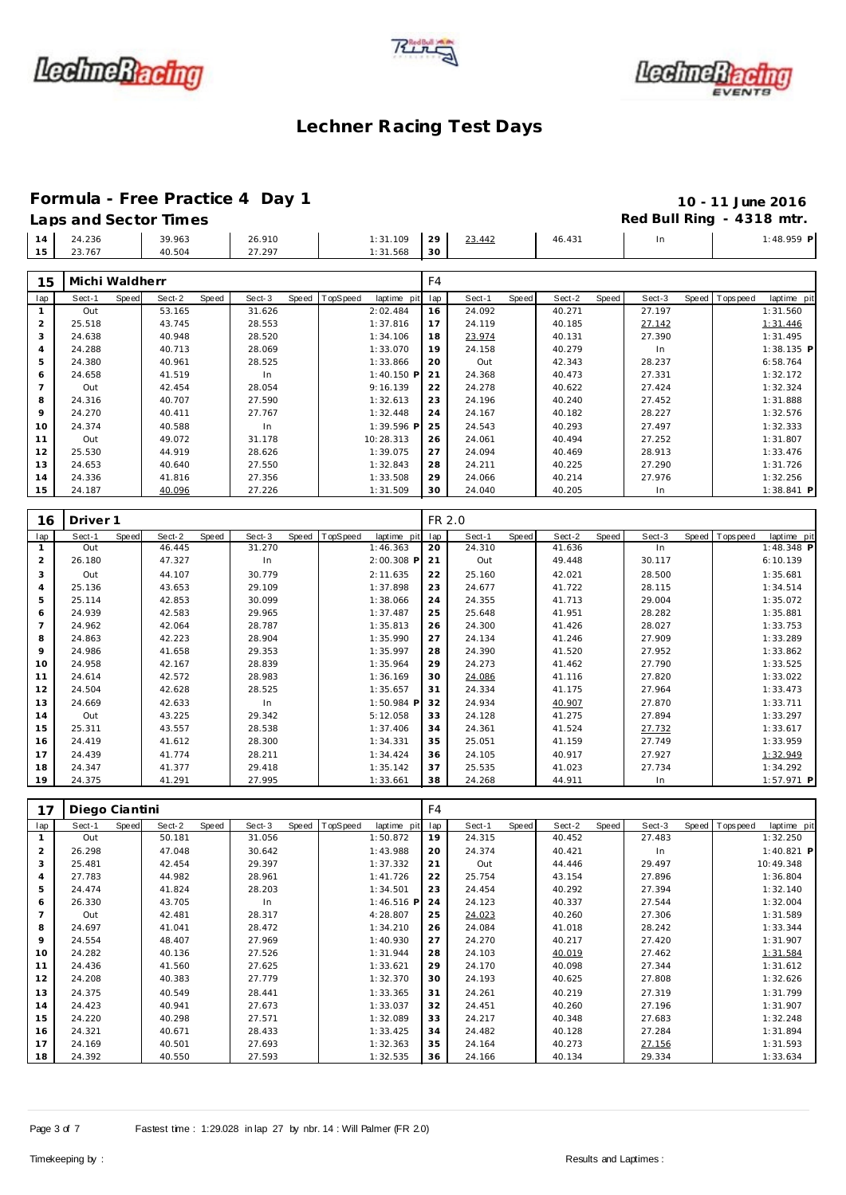





### **Formula - Free Practice 4 Day 1 10 - 11 June 2016**

Laps and Sector Times **Red Bull Ring - 4318 mtr. Red Bull Ring - 4318 mtr.** 14 24.236 39.963 26.910 1:31.109<br>15 23.767 40.504 27.297 1:31.568 23.767 40.504 27.297 1:31.568 23.442 46.431 In 1:48.959 **P** 

| 15  | Michi Waldherr |       |        |       |        |       |          |              | F4  |        |       |        |       |        |                   |              |
|-----|----------------|-------|--------|-------|--------|-------|----------|--------------|-----|--------|-------|--------|-------|--------|-------------------|--------------|
| lap | Sect-1         | Speed | Sect-2 | Speed | Sect-3 | Speed | TopSpeed | laptime pit  | lap | Sect-1 | Speed | Sect-2 | Speed | Sect-3 | Speed   Tops peed | laptime pit  |
|     | Out            |       | 53.165 |       | 31.626 |       |          | 2:02.484     | 16  | 24.092 |       | 40.271 |       | 27.197 |                   | 1:31.560     |
| 2   | 25.518         |       | 43.745 |       | 28.553 |       |          | 1:37.816     | 17  | 24.119 |       | 40.185 |       | 27.142 |                   | 1:31.446     |
| 3   | 24.638         |       | 40.948 |       | 28.520 |       |          | 1:34.106     | 18  | 23.974 |       | 40.131 |       | 27.390 |                   | 1:31.495     |
| 4   | 24.288         |       | 40.713 |       | 28.069 |       |          | 1:33.070     | 19  | 24.158 |       | 40.279 |       | In     |                   | 1:38.135 P   |
| 5   | 24.380         |       | 40.961 |       | 28.525 |       |          | 1:33.866     | 20  | Out    |       | 42.343 |       | 28.237 |                   | 6:58.764     |
| 6   | 24.658         |       | 41.519 |       | In     |       |          | $1:40.150$ P | 21  | 24.368 |       | 40.473 |       | 27.331 |                   | 1:32.172     |
|     | Out            |       | 42.454 |       | 28.054 |       |          | 9:16.139     | 22  | 24.278 |       | 40.622 |       | 27.424 |                   | 1:32.324     |
| 8   | 24.316         |       | 40.707 |       | 27.590 |       |          | 1:32.613     | 23  | 24.196 |       | 40.240 |       | 27.452 |                   | 1:31.888     |
| 9   | 24.270         |       | 40.411 |       | 27.767 |       |          | 1:32.448     | 24  | 24.167 |       | 40.182 |       | 28.227 |                   | 1:32.576     |
| 10  | 24.374         |       | 40.588 |       | In.    |       |          | 1:39.596 P   | 25  | 24.543 |       | 40.293 |       | 27.497 |                   | 1:32.333     |
| 11  | Out            |       | 49.072 |       | 31.178 |       |          | 10:28.313    | 26  | 24.061 |       | 40.494 |       | 27.252 |                   | 1:31.807     |
| 12  | 25.530         |       | 44.919 |       | 28.626 |       |          | 1:39.075     | 27  | 24.094 |       | 40.469 |       | 28.913 |                   | 1:33.476     |
| 13  | 24.653         |       | 40.640 |       | 27.550 |       |          | 1:32.843     | 28  | 24.211 |       | 40.225 |       | 27.290 |                   | 1:31.726     |
| 14  | 24.336         |       | 41.816 |       | 27.356 |       |          | 1:33.508     | 29  | 24.066 |       | 40.214 |       | 27.976 |                   | 1:32.256     |
| 15  | 24.187         |       | 40.096 |       | 27.226 |       |          | 1:31.509     | 30  | 24.040 |       | 40.205 |       | In     |                   | $1:38.841$ P |

| 16             | Driver <sub>1</sub> |       |        |       |        |       |          |             | FR 2.0 |        |       |        |       |        |       |          |              |
|----------------|---------------------|-------|--------|-------|--------|-------|----------|-------------|--------|--------|-------|--------|-------|--------|-------|----------|--------------|
| lap            | Sect-1              | Speed | Sect-2 | Speed | Sect-3 | Speed | TopSpeed | laptime pit | lap    | Sect-1 | Speed | Sect-2 | Speed | Sect-3 | Speed | Topspeed | laptime pit  |
|                | Out                 |       | 46.445 |       | 31.270 |       |          | 1:46.363    | 20     | 24.310 |       | 41.636 |       | In     |       |          | $1:48.348$ P |
| $\overline{2}$ | 26.180              |       | 47.327 |       | In     |       |          | 2:00.308 P  | 21     | Out    |       | 49.448 |       | 30.117 |       |          | 6:10.139     |
| 3              | Out                 |       | 44.107 |       | 30.779 |       |          | 2:11.635    | 22     | 25.160 |       | 42.021 |       | 28.500 |       |          | 1:35.681     |
| $\overline{4}$ | 25.136              |       | 43.653 |       | 29.109 |       |          | 1:37.898    | 23     | 24.677 |       | 41.722 |       | 28.115 |       |          | 1:34.514     |
| 5              | 25.114              |       | 42.853 |       | 30.099 |       |          | 1:38.066    | 24     | 24.355 |       | 41.713 |       | 29.004 |       |          | 1:35.072     |
| 6              | 24.939              |       | 42.583 |       | 29.965 |       |          | 1:37.487    | 25     | 25.648 |       | 41.951 |       | 28.282 |       |          | 1:35.881     |
| $\overline{7}$ | 24.962              |       | 42.064 |       | 28.787 |       |          | 1:35.813    | 26     | 24.300 |       | 41.426 |       | 28.027 |       |          | 1:33.753     |
| 8              | 24.863              |       | 42.223 |       | 28.904 |       |          | 1:35.990    | 27     | 24.134 |       | 41.246 |       | 27.909 |       |          | 1:33.289     |
| 9              | 24.986              |       | 41.658 |       | 29.353 |       |          | 1:35.997    | 28     | 24.390 |       | 41.520 |       | 27.952 |       |          | 1:33.862     |
| 10             | 24.958              |       | 42.167 |       | 28.839 |       |          | 1:35.964    | 29     | 24.273 |       | 41.462 |       | 27.790 |       |          | 1:33.525     |
| 11             | 24.614              |       | 42.572 |       | 28.983 |       |          | 1:36.169    | 30     | 24.086 |       | 41.116 |       | 27.820 |       |          | 1:33.022     |
| 12             | 24.504              |       | 42.628 |       | 28.525 |       |          | 1:35.657    | 31     | 24.334 |       | 41.175 |       | 27.964 |       |          | 1:33.473     |
| 13             | 24.669              |       | 42.633 |       | In     |       |          | 1:50.984 P  | 32     | 24.934 |       | 40.907 |       | 27.870 |       |          | 1:33.711     |
| 14             | Out                 |       | 43.225 |       | 29.342 |       |          | 5:12.058    | 33     | 24.128 |       | 41.275 |       | 27.894 |       |          | 1:33.297     |
| 15             | 25.311              |       | 43.557 |       | 28.538 |       |          | 1:37.406    | 34     | 24.361 |       | 41.524 |       | 27.732 |       |          | 1:33.617     |
| 16             | 24.419              |       | 41.612 |       | 28.300 |       |          | 1:34.331    | 35     | 25.051 |       | 41.159 |       | 27.749 |       |          | 1:33.959     |
| 17             | 24.439              |       | 41.774 |       | 28.211 |       |          | 1:34.424    | 36     | 24.105 |       | 40.917 |       | 27.927 |       |          | 1:32.949     |
| 18             | 24.347              |       | 41.377 |       | 29.418 |       |          | 1:35.142    | 37     | 25.535 |       | 41.023 |       | 27.734 |       |          | 1:34.292     |
| 19             | 24.375              |       | 41.291 |       | 27.995 |       |          | 1:33.661    | 38     | 24.268 |       | 44.911 |       | In     |       |          | $1:57.971$ P |

| 17             | Diego Ciantini |       |        |       |        |       |          |              | F4  |        |       |        |       |        |       |             |              |
|----------------|----------------|-------|--------|-------|--------|-------|----------|--------------|-----|--------|-------|--------|-------|--------|-------|-------------|--------------|
| lap            | Sect-1         | Speed | Sect-2 | Speed | Sect-3 | Speed | TopSpeed | laptime pit  | lap | Sect-1 | Speed | Sect-2 | Speed | Sect-3 | Speed | T ops pee d | laptime pit  |
|                | Out            |       | 50.181 |       | 31.056 |       |          | 1:50.872     | 19  | 24.315 |       | 40.452 |       | 27.483 |       |             | 1:32.250     |
| $\overline{2}$ | 26.298         |       | 47.048 |       | 30.642 |       |          | 1:43.988     | 20  | 24.374 |       | 40.421 |       | In.    |       |             | $1:40.821$ P |
| 3              | 25.481         |       | 42.454 |       | 29.397 |       |          | 1:37.332     | 21  | Out    |       | 44.446 |       | 29.497 |       |             | 10:49.348    |
| $\overline{4}$ | 27.783         |       | 44.982 |       | 28.961 |       |          | 1:41.726     | 22  | 25.754 |       | 43.154 |       | 27.896 |       |             | 1:36.804     |
| 5              | 24.474         |       | 41.824 |       | 28.203 |       |          | 1:34.501     | 23  | 24.454 |       | 40.292 |       | 27.394 |       |             | 1:32.140     |
| 6              | 26.330         |       | 43.705 |       | In     |       |          | $1:46.516$ P | 24  | 24.123 |       | 40.337 |       | 27.544 |       |             | 1:32.004     |
| $\overline{7}$ | Out            |       | 42.481 |       | 28.317 |       |          | 4:28.807     | 25  | 24.023 |       | 40.260 |       | 27.306 |       |             | 1:31.589     |
| 8              | 24.697         |       | 41.041 |       | 28.472 |       |          | 1:34.210     | 26  | 24.084 |       | 41.018 |       | 28.242 |       |             | 1:33.344     |
| 9              | 24.554         |       | 48.407 |       | 27.969 |       |          | 1:40.930     | 27  | 24.270 |       | 40.217 |       | 27.420 |       |             | 1:31.907     |
| 10             | 24.282         |       | 40.136 |       | 27.526 |       |          | 1:31.944     | 28  | 24.103 |       | 40.019 |       | 27.462 |       |             | 1:31.584     |
| 11             | 24.436         |       | 41.560 |       | 27.625 |       |          | 1:33.621     | 29  | 24.170 |       | 40.098 |       | 27.344 |       |             | 1:31.612     |
| 12             | 24.208         |       | 40.383 |       | 27.779 |       |          | 1:32.370     | 30  | 24.193 |       | 40.625 |       | 27.808 |       |             | 1:32.626     |
| 13             | 24.375         |       | 40.549 |       | 28.441 |       |          | 1:33.365     | 31  | 24.261 |       | 40.219 |       | 27.319 |       |             | 1:31.799     |
| 14             | 24.423         |       | 40.941 |       | 27.673 |       |          | 1:33.037     | 32  | 24.451 |       | 40.260 |       | 27.196 |       |             | 1:31.907     |
| 15             | 24.220         |       | 40.298 |       | 27.571 |       |          | 1:32.089     | 33  | 24.217 |       | 40.348 |       | 27.683 |       |             | 1:32.248     |
| 16             | 24.321         |       | 40.671 |       | 28.433 |       |          | 1:33.425     | 34  | 24.482 |       | 40.128 |       | 27.284 |       |             | 1:31.894     |
| 17             | 24.169         |       | 40.501 |       | 27.693 |       |          | 1:32.363     | 35  | 24.164 |       | 40.273 |       | 27.156 |       |             | 1:31.593     |
| 18             | 24.392         |       | 40.550 |       | 27.593 |       |          | 1:32.535     | 36  | 24.166 |       | 40.134 |       | 29.334 |       |             | 1:33.634     |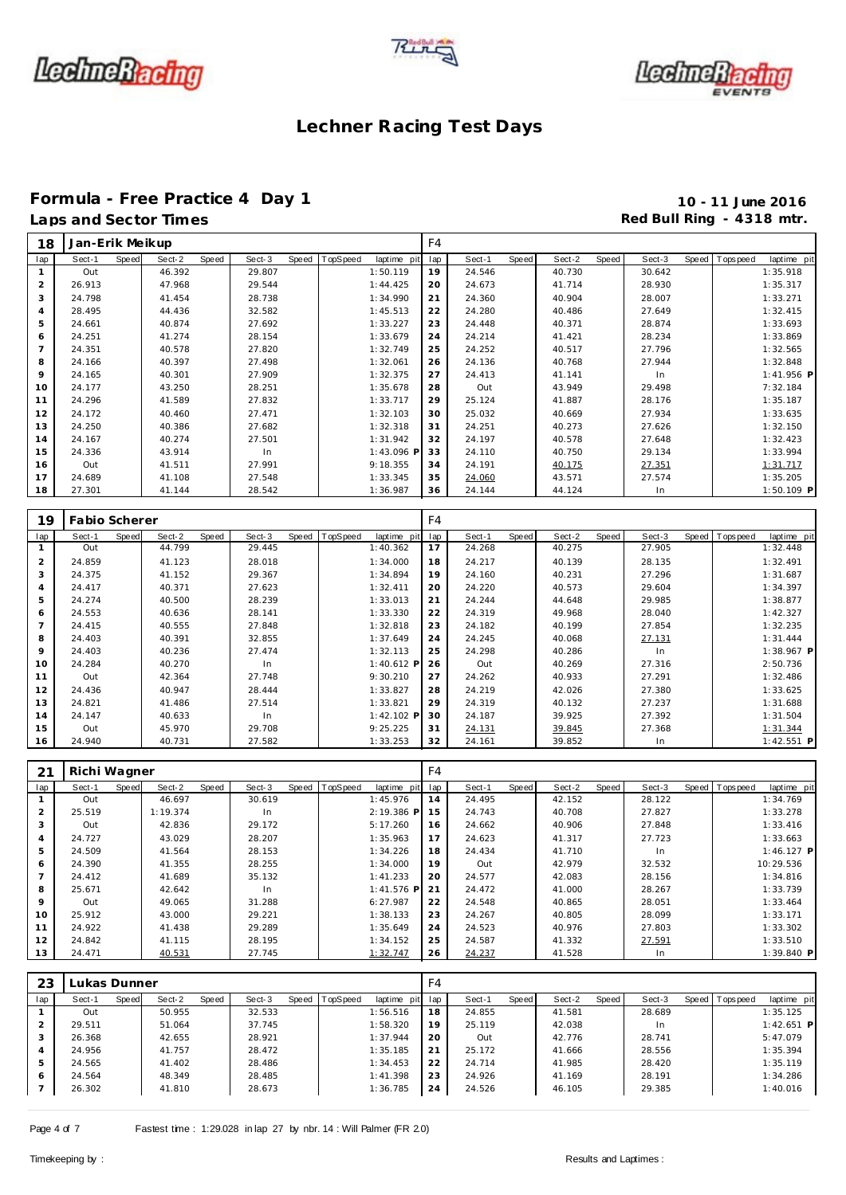





# Formula - Free Practice 4 Day 1<br>
Laps and Sector Times<br> **10 - 11 June 2016**<br>
Red Bull Ring - 4318 mtr.

## Red Bull Ring - 4318 mtr.

| 18             | Jan-Erik Meikup    |       |        |       |        |                |             | F4  |        |       |        |       |        |                |             |
|----------------|--------------------|-------|--------|-------|--------|----------------|-------------|-----|--------|-------|--------|-------|--------|----------------|-------------|
| lap            | Sect-1             | Speed | Sect-2 | Speed | Sect-3 | Speed TopSpeed | laptime pit | lap | Sect-1 | Speed | Sect-2 | Speed | Sect-3 | Speed Topspeed | laptime pit |
| 1              | Out                |       | 46.392 |       | 29.807 |                | 1:50.119    | 19  | 24.546 |       | 40.730 |       | 30.642 |                | 1:35.918    |
| $\overline{2}$ | 26.913             |       | 47.968 |       | 29.544 |                | 1:44.425    | 20  | 24.673 |       | 41.714 |       | 28.930 |                | 1:35.317    |
| 3              | 24.798             |       | 41.454 |       | 28.738 |                | 1:34.990    | 21  | 24.360 |       | 40.904 |       | 28.007 |                | 1:33.271    |
| $\overline{4}$ | 28.495             |       | 44.436 |       | 32.582 |                | 1:45.513    | 22  | 24.280 |       | 40.486 |       | 27.649 |                | 1:32.415    |
| 5              | 24.661             |       | 40.874 |       | 27.692 |                | 1:33.227    | 23  | 24.448 |       | 40.371 |       | 28.874 |                | 1:33.693    |
| 6              | 24.251             |       | 41.274 |       | 28.154 |                | 1:33.679    | 24  | 24.214 |       | 41.421 |       | 28.234 |                | 1:33.869    |
| $\overline{7}$ | 24.351             |       | 40.578 |       | 27.820 |                | 1:32.749    | 25  | 24.252 |       | 40.517 |       | 27.796 |                | 1:32.565    |
| 8              | 24.166             |       | 40.397 |       | 27.498 |                | 1:32.061    | 26  | 24.136 |       | 40.768 |       | 27.944 |                | 1:32.848    |
| 9              | 24.165             |       | 40.301 |       | 27.909 |                | 1:32.375    | 27  | 24.413 |       | 41.141 |       | In     |                | 1:41.956 P  |
| 10             | 24.177             |       | 43.250 |       | 28.251 |                | 1:35.678    | 28  | Out    |       | 43.949 |       | 29.498 |                | 7:32.184    |
| 11             | 24.296             |       | 41.589 |       | 27.832 |                | 1:33.717    | 29  | 25.124 |       | 41.887 |       | 28.176 |                | 1:35.187    |
| 12             | 24.172             |       | 40.460 |       | 27.471 |                | 1:32.103    | 30  | 25.032 |       | 40.669 |       | 27.934 |                | 1:33.635    |
| 13             | 24.250             |       | 40.386 |       | 27.682 |                | 1:32.318    | 31  | 24.251 |       | 40.273 |       | 27.626 |                | 1:32.150    |
| 14             | 24.167             |       | 40.274 |       | 27.501 |                | 1:31.942    | 32  | 24.197 |       | 40.578 |       | 27.648 |                | 1:32.423    |
| 15             | 24.336             |       | 43.914 |       | In     |                | 1:43.096 P  | 33  | 24.110 |       | 40.750 |       | 29.134 |                | 1:33.994    |
| 16             | Out                |       | 41.511 |       | 27.991 |                | 9:18.355    | 34  | 24.191 |       | 40.175 |       | 27.351 |                | 1:31.717    |
| 17             | 24.689             |       | 41.108 |       | 27.548 |                | 1:33.345    | 35  | 24.060 |       | 43.571 |       | 27.574 |                | 1:35.205    |
| 18             | 27.301             |       | 41.144 |       | 28.542 |                | 1:36.987    | 36  | 24.144 |       | 44.124 |       | In     |                | 1:50.109 P  |
|                |                    |       |        |       |        |                |             |     |        |       |        |       |        |                |             |
|                | 10   Fabio Scherer |       |        |       |        |                |             | F4  |        |       |        |       |        |                |             |

| 19             | <b>Fabio Scherer</b> |                 |        |                                 | F4  |                 |                 |        |                                  |
|----------------|----------------------|-----------------|--------|---------------------------------|-----|-----------------|-----------------|--------|----------------------------------|
| lap            | Sect-1<br>Speed      | Sect-2<br>Speed | Sect-3 | Speed   TopSpeed<br>laptime pit | lap | Speed<br>Sect-1 | Sect-2<br>Speed | Sect-3 | Speed   Tops peed<br>laptime pit |
|                | Out                  | 44.799          | 29.445 | 1:40.362                        | 17  | 24.268          | 40.275          | 27.905 | 1:32.448                         |
| $\overline{2}$ | 24.859               | 41.123          | 28.018 | 1:34.000                        | 18  | 24.217          | 40.139          | 28.135 | 1:32.491                         |
| 3              | 24.375               | 41.152          | 29.367 | 1:34.894                        | 19  | 24.160          | 40.231          | 27.296 | 1:31.687                         |
| 4              | 24.417               | 40.371          | 27.623 | 1:32.411                        | 20  | 24.220          | 40.573          | 29.604 | 1:34.397                         |
| 5              | 24.274               | 40.500          | 28.239 | 1:33.013                        | 21  | 24.244          | 44.648          | 29.985 | 1:38.877                         |
| 6              | 24.553               | 40.636          | 28.141 | 1:33.330                        | 22  | 24.319          | 49.968          | 28.040 | 1:42.327                         |
|                | 24.415               | 40.555          | 27.848 | 1:32.818                        | 23  | 24.182          | 40.199          | 27.854 | 1:32.235                         |
| 8              | 24.403               | 40.391          | 32.855 | 1:37.649                        | 24  | 24.245          | 40.068          | 27.131 | 1:31.444                         |
| 9              | 24.403               | 40.236          | 27.474 | 1:32.113                        | 25  | 24.298          | 40.286          | In     | 1:38.967 P                       |
| 10             | 24.284               | 40.270          | In.    | 1:40.612 P                      | 26  | Out             | 40.269          | 27.316 | 2:50.736                         |
| 11             | Out                  | 42.364          | 27.748 | 9:30.210                        | 27  | 24.262          | 40.933          | 27.291 | 1:32.486                         |
| 12             | 24.436               | 40.947          | 28.444 | 1:33.827                        | 28  | 24.219          | 42.026          | 27.380 | 1:33.625                         |
| 13             | 24.821               | 41.486          | 27.514 | 1:33.821                        | 29  | 24.319          | 40.132          | 27.237 | 1:31.688                         |
| 14             | 24.147               | 40.633          | In.    | $1:42.102$ P                    | 30  | 24.187          | 39.925          | 27.392 | 1:31.504                         |
| 15             | Out                  | 45.970          | 29.708 | 9:25.225                        | 31  | 24.131          | 39.845          | 27.368 | 1:31.344                         |
| 16             | 24.940               | 40.731          | 27.582 | 1:33.253                        | 32  | 24.161          | 39.852          | In     | $1:42.551$ P                     |

| 21             | Richi Wagner |       |          |       |        |                |              | F4  |        |       |        |       |        |                |              |
|----------------|--------------|-------|----------|-------|--------|----------------|--------------|-----|--------|-------|--------|-------|--------|----------------|--------------|
| lap            | Sect-1       | Speed | Sect-2   | Speed | Sect-3 | Speed TopSpeed | laptime pit  | lap | Sect-1 | Speed | Sect-2 | Speed | Sect-3 | Speed Topspeed | laptime pit  |
|                | Out          |       | 46.697   |       | 30.619 |                | 1:45.976     | 14  | 24.495 |       | 42.152 |       | 28.122 |                | 1:34.769     |
| $\overline{2}$ | 25.519       |       | 1:19.374 |       | In.    |                | 2:19.386 P   | 15  | 24.743 |       | 40.708 |       | 27.827 |                | 1:33.278     |
| 3              | Out          |       | 42.836   |       | 29.172 |                | 5:17.260     | 16  | 24.662 |       | 40.906 |       | 27.848 |                | 1:33.416     |
| $\overline{4}$ | 24.727       |       | 43.029   |       | 28.207 |                | 1:35.963     | 17  | 24.623 |       | 41.317 |       | 27.723 |                | 1:33.663     |
| 5              | 24.509       |       | 41.564   |       | 28.153 |                | 1:34.226     | 18  | 24.434 |       | 41.710 |       | In     |                | $1:46.127$ P |
| 6              | 24.390       |       | 41.355   |       | 28.255 |                | 1:34.000     | 19  | Out    |       | 42.979 |       | 32.532 |                | 10:29.536    |
|                | 24.412       |       | 41.689   |       | 35.132 |                | 1:41.233     | 20  | 24.577 |       | 42.083 |       | 28.156 |                | 1:34.816     |
| 8              | 25.671       |       | 42.642   |       | In     |                | $1:41.576$ P | 21  | 24.472 |       | 41.000 |       | 28.267 |                | 1:33.739     |
| 9              | Out          |       | 49.065   |       | 31.288 |                | 6:27.987     | 22  | 24.548 |       | 40.865 |       | 28.051 |                | 1:33.464     |
| 10             | 25.912       |       | 43.000   |       | 29.221 |                | 1:38.133     | 23  | 24.267 |       | 40.805 |       | 28.099 |                | 1:33.171     |
| 11             | 24.922       |       | 41.438   |       | 29.289 |                | 1:35.649     | 24  | 24.523 |       | 40.976 |       | 27.803 |                | 1:33.302     |
| 12             | 24.842       |       | 41.115   |       | 28.195 |                | 1:34.152     | 25  | 24.587 |       | 41.332 |       | 27.591 |                | 1:33.510     |
| 13             | 24.471       |       | 40.531   |       | 27.745 |                | 1:32.747     | 26  | 24.237 |       | 41.528 |       | In     |                | $1:39.840$ P |

| 23  | Lukas Dunner |       |        |       |        |                |             | F4  |        |       |        |       |        |       |            |              |  |
|-----|--------------|-------|--------|-------|--------|----------------|-------------|-----|--------|-------|--------|-------|--------|-------|------------|--------------|--|
| lap | Sect-1       | Speed | Sect-2 | Speed | Sect-3 | Speed TopSpeed | laptime pit | lap | Sect-1 | Speed | Sect-2 | Speed | Sect-3 | Speed | T ops peed | laptime pit  |  |
|     | Out          |       | 50.955 |       | 32.533 |                | 1:56.516    | 18  | 24.855 |       | 41.581 |       | 28.689 |       |            | 1:35.125     |  |
|     | 29.511       |       | 51.064 |       | 37.745 |                | 1:58.320    | 19  | 25.119 |       | 42.038 |       | In     |       |            | $1:42.651$ P |  |
| 3   | 26.368       |       | 42.655 |       | 28.921 |                | 1:37.944    | 20  | Out    |       | 42.776 |       | 28.741 |       |            | 5:47.079     |  |
| 4   | 24.956       |       | 41.757 |       | 28.472 |                | 1:35.185    | 21  | 25.172 |       | 41.666 |       | 28.556 |       |            | 1:35.394     |  |
| 5   | 24.565       |       | 41.402 |       | 28.486 |                | 1:34.453    | 22  | 24.714 |       | 41.985 |       | 28.420 |       |            | 1:35.119     |  |
| 6   | 24.564       |       | 48.349 |       | 28.485 |                | 1:41.398    | 23  | 24.926 |       | 41.169 |       | 28.191 |       |            | 1:34.286     |  |
|     | 26.302       |       | 41.810 |       | 28.673 |                | 1:36.785    | 24  | 24.526 |       | 46.105 |       | 29.385 |       |            | 1:40.016     |  |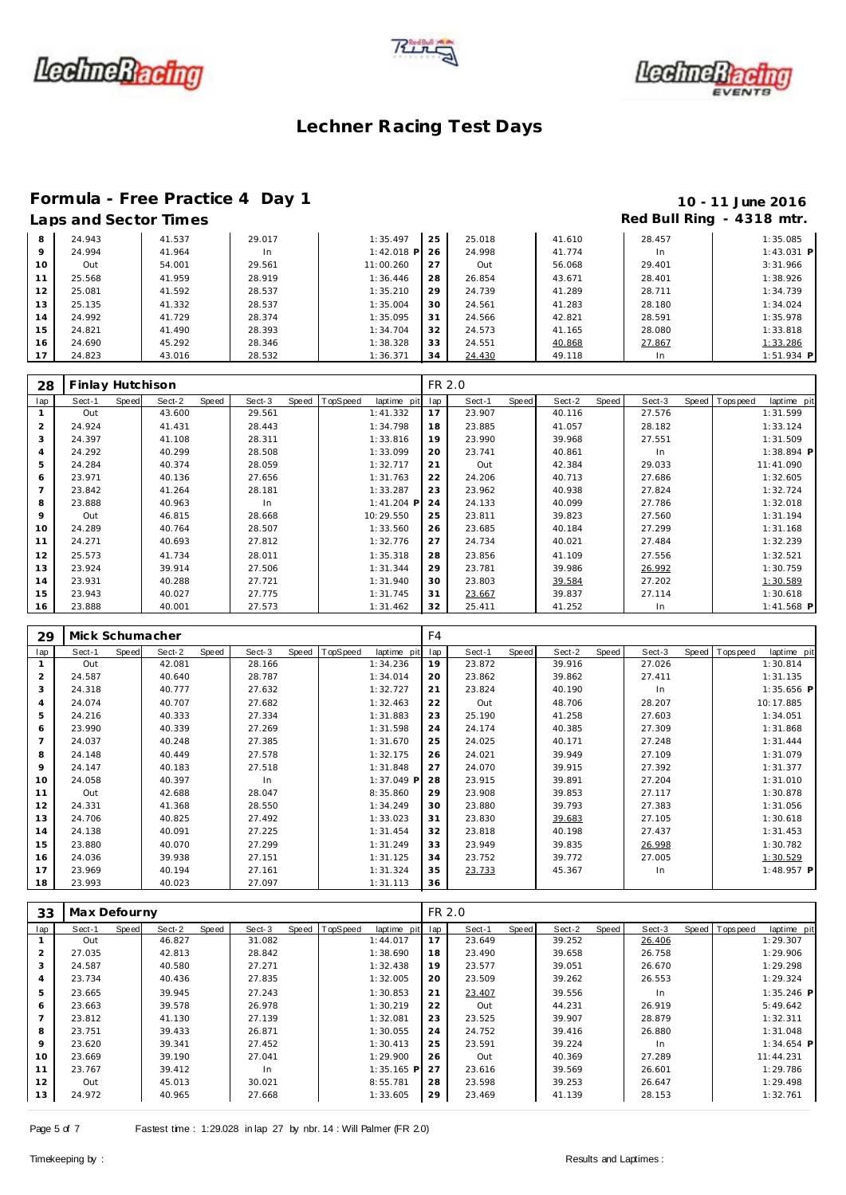





# Formula - Free Practice 4 Day 1<br>
Laps and Sector Times<br>
10 - 11 June 2016

### Red Bull Ring - 4318 mtr.

| 8       | 24.943 | 41.537 | 29.017 | 1:35.497     | 25 | 25.018 | 41.610 | 28.457 | 1:35.085     |
|---------|--------|--------|--------|--------------|----|--------|--------|--------|--------------|
| $\circ$ | 24.994 | 41.964 | In.    | $1:42.018$ P | 26 | 24.998 | 41.774 | In.    | $1:43.031$ P |
| 10      | Out    | 54.001 | 29.561 | 11:00.260    | 27 | Out    | 56.068 | 29.401 | 3:31.966     |
| 11      | 25.568 | 41.959 | 28.919 | 1:36.446     | 28 | 26.854 | 43.671 | 28.401 | 1:38.926     |
| 12      | 25.081 | 41.592 | 28.537 | 1:35.210     | 29 | 24.739 | 41.289 | 28.711 | 1:34.739     |
| 13      | 25.135 | 41.332 | 28.537 | 1:35.004     | 30 | 24.561 | 41.283 | 28.180 | 1:34.024     |
| 14      | 24.992 | 41.729 | 28.374 | 1:35.095     | 31 | 24.566 | 42.821 | 28.591 | 1:35.978     |
| 15      | 24.821 | 41.490 | 28.393 | 1:34.704     | 32 | 24.573 | 41.165 | 28.080 | 1:33.818     |
| 16      | 24.690 | 45.292 | 28.346 | 1:38.328     | 33 | 24.551 | 40.868 | 27.867 | 1:33.286     |
| 17      | 24.823 | 43.016 | 28.532 | 1:36.371     | 34 | 24.430 | 49.118 | In.    | $1:51.934$ P |

| 28             | Finlay Hutchison |       |        |       |        |                |              | FR 2.0 |        |       |        |       |        |                |              |
|----------------|------------------|-------|--------|-------|--------|----------------|--------------|--------|--------|-------|--------|-------|--------|----------------|--------------|
| lap            | Sect-1           | Speed | Sect-2 | Speed | Sect-3 | Speed TopSpeed | laptime pit  | lap    | Sect-1 | Speed | Sect-2 | Speed | Sect-3 | Speed Topspeed | laptime pit  |
|                | Out              |       | 43.600 |       | 29.561 |                | 1:41.332     | 17     | 23.907 |       | 40.116 |       | 27.576 |                | 1:31.599     |
| 2              | 24.924           |       | 41.431 |       | 28.443 |                | 1:34.798     | 18     | 23.885 |       | 41.057 |       | 28.182 |                | 1:33.124     |
| 3              | 24.397           |       | 41.108 |       | 28.311 |                | 1:33.816     | 19     | 23.990 |       | 39.968 |       | 27.551 |                | 1:31.509     |
| $\overline{4}$ | 24.292           |       | 40.299 |       | 28.508 |                | 1:33.099     | 20     | 23.741 |       | 40.861 |       | In     |                | $1:38.894$ P |
| 5              | 24.284           |       | 40.374 |       | 28.059 |                | 1:32.717     | 21     | Out    |       | 42.384 |       | 29.033 |                | 11:41.090    |
| 6              | 23.971           |       | 40.136 |       | 27.656 |                | 1:31.763     | 22     | 24.206 |       | 40.713 |       | 27.686 |                | 1:32.605     |
|                | 23.842           |       | 41.264 |       | 28.181 |                | 1:33.287     | 23     | 23.962 |       | 40.938 |       | 27.824 |                | 1:32.724     |
| 8              | 23.888           |       | 40.963 |       | In.    |                | $1:41.204$ P | 24     | 24.133 |       | 40.099 |       | 27.786 |                | 1:32.018     |
| 9              | Out              |       | 46.815 |       | 28.668 |                | 10:29.550    | 25     | 23.811 |       | 39.823 |       | 27.560 |                | 1:31.194     |
| 10             | 24.289           |       | 40.764 |       | 28.507 |                | 1:33.560     | 26     | 23.685 |       | 40.184 |       | 27.299 |                | 1:31.168     |
| 11             | 24.271           |       | 40.693 |       | 27.812 |                | 1:32.776     | 27     | 24.734 |       | 40.021 |       | 27.484 |                | 1:32.239     |
| 12             | 25.573           |       | 41.734 |       | 28.011 |                | 1:35.318     | 28     | 23.856 |       | 41.109 |       | 27.556 |                | 1:32.521     |
| 13             | 23.924           |       | 39.914 |       | 27.506 |                | 1:31.344     | 29     | 23.781 |       | 39.986 |       | 26.992 |                | 1:30.759     |
| 14             | 23.931           |       | 40.288 |       | 27.721 |                | 1:31.940     | 30     | 23.803 |       | 39.584 |       | 27.202 |                | 1:30.589     |
| 15             | 23.943           |       | 40.027 |       | 27.775 |                | 1:31.745     | 31     | 23.667 |       | 39.837 |       | 27.114 |                | 1:30.618     |
| 16             | 23.888           |       | 40.001 |       | 27.573 |                | 1:31.462     | 32     | 25.411 |       | 41.252 |       | In     |                | $1:41.568$ P |

| 29  | Mick Schumacher |       |        |       |        |       |          |             | F4  |        |       |        |       |        |                |              |
|-----|-----------------|-------|--------|-------|--------|-------|----------|-------------|-----|--------|-------|--------|-------|--------|----------------|--------------|
| lap | Sect-1          | Speed | Sect-2 | Speed | Sect-3 | Speed | TopSpeed | laptime pit | lap | Sect-1 | Speed | Sect-2 | Speed | Sect-3 | Speed Topspeed | laptime pit  |
|     | Out             |       | 42.081 |       | 28.166 |       |          | 1:34.236    | 19  | 23.872 |       | 39.916 |       | 27.026 |                | 1:30.814     |
| 2   | 24.587          |       | 40.640 |       | 28.787 |       |          | 1:34.014    | 20  | 23.862 |       | 39.862 |       | 27.411 |                | 1:31.135     |
| 3   | 24.318          |       | 40.777 |       | 27.632 |       |          | 1:32.727    | 21  | 23.824 |       | 40.190 |       | In     |                | $1:35.656$ P |
| 4   | 24.074          |       | 40.707 |       | 27.682 |       |          | 1:32.463    | 22  | Out    |       | 48.706 |       | 28.207 |                | 10:17.885    |
| 5   | 24.216          |       | 40.333 |       | 27.334 |       |          | 1:31.883    | 23  | 25.190 |       | 41.258 |       | 27.603 |                | 1:34.051     |
| 6   | 23.990          |       | 40.339 |       | 27.269 |       |          | 1:31.598    | 24  | 24.174 |       | 40.385 |       | 27.309 |                | 1:31.868     |
|     | 24.037          |       | 40.248 |       | 27.385 |       |          | 1:31.670    | 25  | 24.025 |       | 40.171 |       | 27.248 |                | 1:31.444     |
| 8   | 24.148          |       | 40.449 |       | 27.578 |       |          | 1:32.175    | 26  | 24.021 |       | 39.949 |       | 27.109 |                | 1:31.079     |
| 9   | 24.147          |       | 40.183 |       | 27.518 |       |          | 1:31.848    | 27  | 24.070 |       | 39.915 |       | 27.392 |                | 1:31.377     |
| 10  | 24.058          |       | 40.397 |       | In     |       |          | 1:37.049 P  | 28  | 23.915 |       | 39.891 |       | 27.204 |                | 1:31.010     |
| 11  | Out             |       | 42.688 |       | 28.047 |       |          | 8:35.860    | 29  | 23.908 |       | 39.853 |       | 27.117 |                | 1:30.878     |
| 12  | 24.331          |       | 41.368 |       | 28.550 |       |          | 1:34.249    | 30  | 23.880 |       | 39.793 |       | 27.383 |                | 1:31.056     |
| 13  | 24.706          |       | 40.825 |       | 27.492 |       |          | 1:33.023    | 31  | 23.830 |       | 39.683 |       | 27.105 |                | 1:30.618     |
| 14  | 24.138          |       | 40.091 |       | 27.225 |       |          | 1:31.454    | 32  | 23.818 |       | 40.198 |       | 27.437 |                | 1:31.453     |
| 15  | 23.880          |       | 40.070 |       | 27.299 |       |          | 1:31.249    | 33  | 23.949 |       | 39.835 |       | 26.998 |                | 1:30.782     |
| 16  | 24.036          |       | 39.938 |       | 27.151 |       |          | 1:31.125    | 34  | 23.752 |       | 39.772 |       | 27.005 |                | 1:30.529     |
| 17  | 23.969          |       | 40.194 |       | 27.161 |       |          | 1:31.324    | 35  | 23.733 |       | 45.367 |       | In     |                | 1:48.957 P   |
| 18  | 23.993          |       | 40.023 |       | 27.097 |       |          | 1:31.113    | 36  |        |       |        |       |        |                |              |

| 33             | Max Defourny |       |        |       |        |                  |              | FR 2.0 |        |       |        |       |        |                |              |  |
|----------------|--------------|-------|--------|-------|--------|------------------|--------------|--------|--------|-------|--------|-------|--------|----------------|--------------|--|
| lap            | Sect-1       | Speed | Sect-2 | Speed | Sect-3 | Speed   TopSpeed | laptime pit  | lap    | Sect-1 | Speed | Sect-2 | Speed | Sect-3 | Speed Topspeed | laptime pit  |  |
|                | Out          |       | 46.827 |       | 31.082 |                  | 1:44.017     | 17     | 23.649 |       | 39.252 |       | 26.406 |                | 1:29.307     |  |
| $\overline{2}$ | 27.035       |       | 42.813 |       | 28.842 |                  | 1:38.690     | 18     | 23.490 |       | 39.658 |       | 26.758 |                | 1:29.906     |  |
| 3              | 24.587       |       | 40.580 |       | 27.271 |                  | 1:32.438     | 19     | 23.577 |       | 39.051 |       | 26.670 |                | 1:29.298     |  |
| 4              | 23.734       |       | 40.436 |       | 27.835 |                  | 1:32.005     | 20     | 23.509 |       | 39.262 |       | 26.553 |                | 1:29.324     |  |
| 5              | 23.665       |       | 39.945 |       | 27.243 |                  | 1:30.853     | 21     | 23.407 |       | 39.556 |       | In     |                | $1:35.246$ P |  |
| 6              | 23.663       |       | 39.578 |       | 26.978 |                  | 1:30.219     | 22     | Out    |       | 44.231 |       | 26.919 |                | 5:49.642     |  |
| $\overline{7}$ | 23.812       |       | 41.130 |       | 27.139 |                  | 1:32.081     | 23     | 23.525 |       | 39.907 |       | 28.879 |                | 1:32.311     |  |
| 8              | 23.751       |       | 39.433 |       | 26.871 |                  | 1:30.055     | 24     | 24.752 |       | 39.416 |       | 26.880 |                | 1:31.048     |  |
| 9              | 23.620       |       | 39.341 |       | 27.452 |                  | 1:30.413     | 25     | 23.591 |       | 39.224 |       | In.    |                | $1:34.654$ P |  |
| 10             | 23.669       |       | 39.190 |       | 27.041 |                  | 1:29.900     | 26     | Out    |       | 40.369 |       | 27.289 |                | 11:44.231    |  |
| 11             | 23.767       |       | 39.412 |       | In.    |                  | $1:35.165$ P | 27     | 23.616 |       | 39.569 |       | 26.601 |                | 1:29.786     |  |
| 12             | Out          |       | 45.013 |       | 30.021 |                  | 8:55.781     | 28     | 23.598 |       | 39.253 |       | 26.647 |                | 1:29.498     |  |
| 13             | 24.972       |       | 40.965 |       | 27.668 |                  | 1:33.605     | 29     | 23.469 |       | 41.139 |       | 28.153 |                | 1:32.761     |  |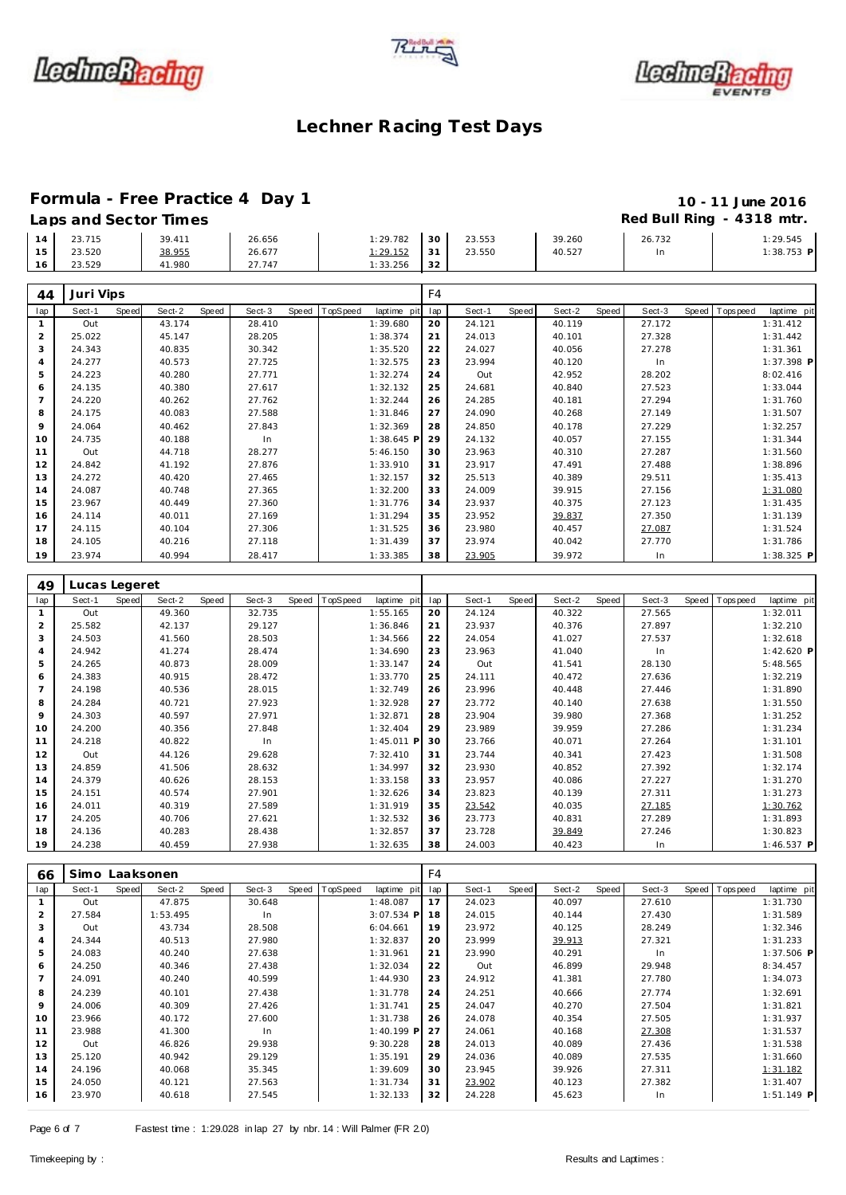





### **Formula - Free Practice 4 Day 1 10 - 11 June 2016 Laps and Sector Times Red Bull Ring - 4318 mtr.**

|    | Laps and bector innes |        |        |          |                 |        |        |        | $1.00$ Danima $1.01$ Dividend $1.01$ |
|----|-----------------------|--------|--------|----------|-----------------|--------|--------|--------|--------------------------------------|
| 14 | 23.715                | 39.411 | 26.656 | 1:29.782 | 30 <sup>1</sup> | 23.553 | 39.260 | 26.732 | 1:29.545                             |
| 15 | 23.520                | 38.955 | 26.677 | 1:29.152 | - 31            | 23.550 | 40.527 | In     | $1:38.753$ P                         |
| 16 | 23.529                | 41.980 | 27.747 | 1:33.256 | 32              |        |        |        |                                      |

| 44             | Juri Vips     |       |        |       |        |       |          |              | F4  |        |       |        |       |        |                |             |
|----------------|---------------|-------|--------|-------|--------|-------|----------|--------------|-----|--------|-------|--------|-------|--------|----------------|-------------|
| lap            | Sect-1        | Speed | Sect-2 | Speed | Sect-3 | Speed | TopSpeed | laptime pit  | lap | Sect-1 | Speed | Sect-2 | Speed | Sect-3 | Speed Topspeed | laptime pit |
| $\mathbf{1}$   | Out           |       | 43.174 |       | 28.410 |       |          | 1:39.680     | 20  | 24.121 |       | 40.119 |       | 27.172 |                | 1:31.412    |
| 2              | 25.022        |       | 45.147 |       | 28.205 |       |          | 1:38.374     | 21  | 24.013 |       | 40.101 |       | 27.328 |                | 1:31.442    |
| 3              | 24.343        |       | 40.835 |       | 30.342 |       |          | 1:35.520     | 22  | 24.027 |       | 40.056 |       | 27.278 |                | 1:31.361    |
| $\overline{4}$ | 24.277        |       | 40.573 |       | 27.725 |       |          | 1:32.575     | 23  | 23.994 |       | 40.120 |       | In     |                | 1:37.398 P  |
| 5              | 24.223        |       | 40.280 |       | 27.771 |       |          | 1:32.274     | 24  | Out    |       | 42.952 |       | 28.202 |                | 8:02.416    |
| 6              | 24.135        |       | 40.380 |       | 27.617 |       |          | 1:32.132     | 25  | 24.681 |       | 40.840 |       | 27.523 |                | 1:33.044    |
| $\overline{7}$ | 24.220        |       | 40.262 |       | 27.762 |       |          | 1:32.244     | 26  | 24.285 |       | 40.181 |       | 27.294 |                | 1:31.760    |
| 8              | 24.175        |       | 40.083 |       | 27.588 |       |          | 1:31.846     | 27  | 24.090 |       | 40.268 |       | 27.149 |                | 1:31.507    |
| 9              | 24.064        |       | 40.462 |       | 27.843 |       |          | 1:32.369     | 28  | 24.850 |       | 40.178 |       | 27.229 |                | 1:32.257    |
| 10             | 24.735        |       | 40.188 |       | In     |       |          | $1:38.645$ P | 29  | 24.132 |       | 40.057 |       | 27.155 |                | 1:31.344    |
| 11             | Out           |       | 44.718 |       | 28.277 |       |          | 5:46.150     | 30  | 23.963 |       | 40.310 |       | 27.287 |                | 1:31.560    |
| 12             | 24.842        |       | 41.192 |       | 27.876 |       |          | 1:33.910     | 31  | 23.917 |       | 47.491 |       | 27.488 |                | 1:38.896    |
| 13             | 24.272        |       | 40.420 |       | 27.465 |       |          | 1:32.157     | 32  | 25.513 |       | 40.389 |       | 29.511 |                | 1:35.413    |
| 14             | 24.087        |       | 40.748 |       | 27.365 |       |          | 1:32.200     | 33  | 24.009 |       | 39.915 |       | 27.156 |                | 1:31.080    |
| 15             | 23.967        |       | 40.449 |       | 27.360 |       |          | 1:31.776     | 34  | 23.937 |       | 40.375 |       | 27.123 |                | 1:31.435    |
| 16             | 24.114        |       | 40.011 |       | 27.169 |       |          | 1:31.294     | 35  | 23.952 |       | 39.837 |       | 27.350 |                | 1:31.139    |
| 17             | 24.115        |       | 40.104 |       | 27.306 |       |          | 1:31.525     | 36  | 23.980 |       | 40.457 |       | 27.087 |                | 1:31.524    |
| 18             | 24.105        |       | 40.216 |       | 27.118 |       |          | 1:31.439     | 37  | 23.974 |       | 40.042 |       | 27.770 |                | 1:31.786    |
| 19             | 23.974        |       | 40.994 |       | 28.417 |       |          | 1:33.385     | 38  | 23.905 |       | 39.972 |       | In.    |                | 1:38.325 P  |
|                |               |       |        |       |        |       |          |              |     |        |       |        |       |        |                |             |
| 49             | Lucas Legeret |       |        |       |        |       |          |              |     |        |       |        |       |        |                |             |

| lap            | Sect-1 | Speed | Sect-2 | Speed | Sect-3 | Speed | TopSpeed | laptime pit  | lap | Sect-1 | Speed | Sect-2 | Speed | Sect-3 | Speed Topspeed | laptime pit  |
|----------------|--------|-------|--------|-------|--------|-------|----------|--------------|-----|--------|-------|--------|-------|--------|----------------|--------------|
|                | Out    |       | 49.360 |       | 32.735 |       |          | 1:55.165     | 20  | 24.124 |       | 40.322 |       | 27.565 |                | 1:32.011     |
| 2              | 25.582 |       | 42.137 |       | 29.127 |       |          | 1:36.846     | 21  | 23.937 |       | 40.376 |       | 27.897 |                | 1:32.210     |
| 3              | 24.503 |       | 41.560 |       | 28.503 |       |          | 1:34.566     | 22  | 24.054 |       | 41.027 |       | 27.537 |                | 1:32.618     |
| 4              | 24.942 |       | 41.274 |       | 28.474 |       |          | 1:34.690     | 23  | 23.963 |       | 41.040 |       | In     |                | $1:42.620$ P |
| 5              | 24.265 |       | 40.873 |       | 28.009 |       |          | 1:33.147     | 24  | Out    |       | 41.541 |       | 28.130 |                | 5:48.565     |
| 6              | 24.383 |       | 40.915 |       | 28.472 |       |          | 1:33.770     | 25  | 24.111 |       | 40.472 |       | 27.636 |                | 1:32.219     |
| $\overline{7}$ | 24.198 |       | 40.536 |       | 28.015 |       |          | 1:32.749     | 26  | 23.996 |       | 40.448 |       | 27.446 |                | 1:31.890     |
| 8              | 24.284 |       | 40.721 |       | 27.923 |       |          | 1:32.928     | 27  | 23.772 |       | 40.140 |       | 27.638 |                | 1:31.550     |
| 9              | 24.303 |       | 40.597 |       | 27.971 |       |          | 1:32.871     | 28  | 23.904 |       | 39.980 |       | 27.368 |                | 1:31.252     |
| 10             | 24.200 |       | 40.356 |       | 27.848 |       |          | 1:32.404     | 29  | 23.989 |       | 39.959 |       | 27.286 |                | 1:31.234     |
| 11             | 24.218 |       | 40.822 |       | In     |       |          | $1:45.011$ P | 30  | 23.766 |       | 40.071 |       | 27.264 |                | 1:31.101     |
| 12             | Out    |       | 44.126 |       | 29.628 |       |          | 7:32.410     | 31  | 23.744 |       | 40.341 |       | 27.423 |                | 1:31.508     |
| 13             | 24.859 |       | 41.506 |       | 28.632 |       |          | 1:34.997     | 32  | 23.930 |       | 40.852 |       | 27.392 |                | 1:32.174     |
| 14             | 24.379 |       | 40.626 |       | 28.153 |       |          | 1:33.158     | 33  | 23.957 |       | 40.086 |       | 27.227 |                | 1:31.270     |
| 15             | 24.151 |       | 40.574 |       | 27.901 |       |          | 1:32.626     | 34  | 23.823 |       | 40.139 |       | 27.311 |                | 1:31.273     |
| 16             | 24.011 |       | 40.319 |       | 27.589 |       |          | 1:31.919     | 35  | 23.542 |       | 40.035 |       | 27.185 |                | 1:30.762     |
| 17             | 24.205 |       | 40.706 |       | 27.621 |       |          | 1:32.532     | 36  | 23.773 |       | 40.831 |       | 27.289 |                | 1:31.893     |
| 18             | 24.136 |       | 40.283 |       | 28.438 |       |          | 1:32.857     | 37  | 23.728 |       | 39.849 |       | 27.246 |                | 1:30.823     |
| 19             | 24.238 |       | 40.459 |       | 27.938 |       |          | 1:32.635     | 38  | 24.003 |       | 40.423 |       | In     |                | $1:46.537$ P |

| 66             | Simo Laaksonen |       |          |       |        |       |          |              | F <sub>4</sub> |        |       |        |       |        |       |            |              |
|----------------|----------------|-------|----------|-------|--------|-------|----------|--------------|----------------|--------|-------|--------|-------|--------|-------|------------|--------------|
| lap            | Sect-1         | Speed | Sect-2   | Speed | Sect-3 | Speed | TopSpeed | laptime pit  | lap            | Sect-1 | Speed | Sect-2 | Speed | Sect-3 | Speed | T ops peed | laptime pit  |
|                | Out            |       | 47.875   |       | 30.648 |       |          | 1:48.087     | 17             | 24.023 |       | 40.097 |       | 27.610 |       |            | 1:31.730     |
| $\overline{2}$ | 27.584         |       | 1:53.495 |       | In.    |       |          | $3:07.534$ P | 18             | 24.015 |       | 40.144 |       | 27.430 |       |            | 1:31.589     |
| 3              | Out            |       | 43.734   |       | 28.508 |       |          | 6:04.661     | 19             | 23.972 |       | 40.125 |       | 28.249 |       |            | 1:32.346     |
| 4              | 24.344         |       | 40.513   |       | 27.980 |       |          | 1:32.837     | 20             | 23.999 |       | 39.913 |       | 27.321 |       |            | 1:31.233     |
| 5              | 24.083         |       | 40.240   |       | 27.638 |       |          | 1:31.961     | 21             | 23.990 |       | 40.291 |       | In     |       |            | $1:37.506$ P |
| 6              | 24.250         |       | 40.346   |       | 27.438 |       |          | 1:32.034     | 22             | Out    |       | 46.899 |       | 29.948 |       |            | 8:34.457     |
| $\overline{7}$ | 24.091         |       | 40.240   |       | 40.599 |       |          | 1:44.930     | 23             | 24.912 |       | 41.381 |       | 27.780 |       |            | 1:34.073     |
| 8              | 24.239         |       | 40.101   |       | 27.438 |       |          | 1:31.778     | 24             | 24.251 |       | 40.666 |       | 27.774 |       |            | 1:32.691     |
| 9              | 24.006         |       | 40.309   |       | 27.426 |       |          | 1:31.741     | 25             | 24.047 |       | 40.270 |       | 27.504 |       |            | 1:31.821     |
| 10             | 23.966         |       | 40.172   |       | 27.600 |       |          | 1:31.738     | 26             | 24.078 |       | 40.354 |       | 27.505 |       |            | 1:31.937     |
| 11             | 23.988         |       | 41.300   |       | In.    |       |          | $1:40.199$ P | 27             | 24.061 |       | 40.168 |       | 27.308 |       |            | 1:31.537     |
| 12             | Out            |       | 46.826   |       | 29.938 |       |          | 9:30.228     | 28             | 24.013 |       | 40.089 |       | 27.436 |       |            | 1:31.538     |
| 13             | 25.120         |       | 40.942   |       | 29.129 |       |          | 1:35.191     | 29             | 24.036 |       | 40.089 |       | 27.535 |       |            | 1:31.660     |
| 14             | 24.196         |       | 40.068   |       | 35.345 |       |          | 1:39.609     | 30             | 23.945 |       | 39.926 |       | 27.311 |       |            | 1:31.182     |
| 15             | 24.050         |       | 40.121   |       | 27.563 |       |          | 1:31.734     | 31             | 23.902 |       | 40.123 |       | 27.382 |       |            | 1:31.407     |
| 16             | 23.970         |       | 40.618   |       | 27.545 |       |          | 1:32.133     | 32             | 24.228 |       | 45.623 |       | In.    |       |            | 1:51.149 P   |